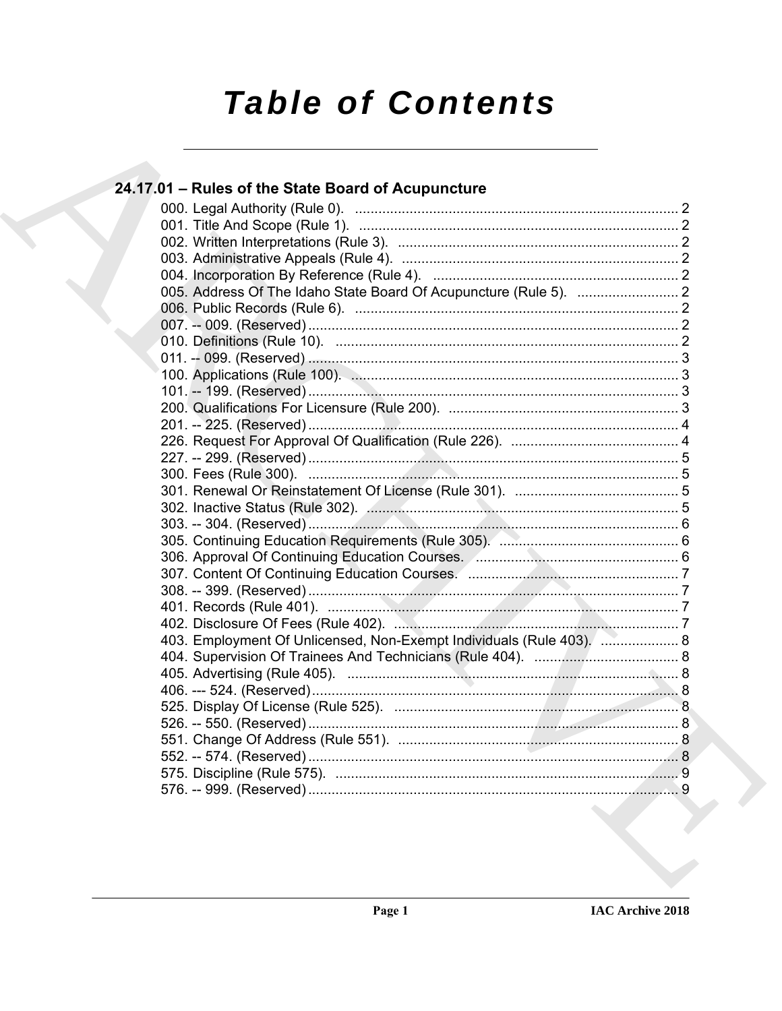# **Table of Contents**

### 24.17.01 - Rules of the State Board of Acupuncture 403. Employment Of Unlicensed, Non-Exempt Individuals (Rule 403). .................... 8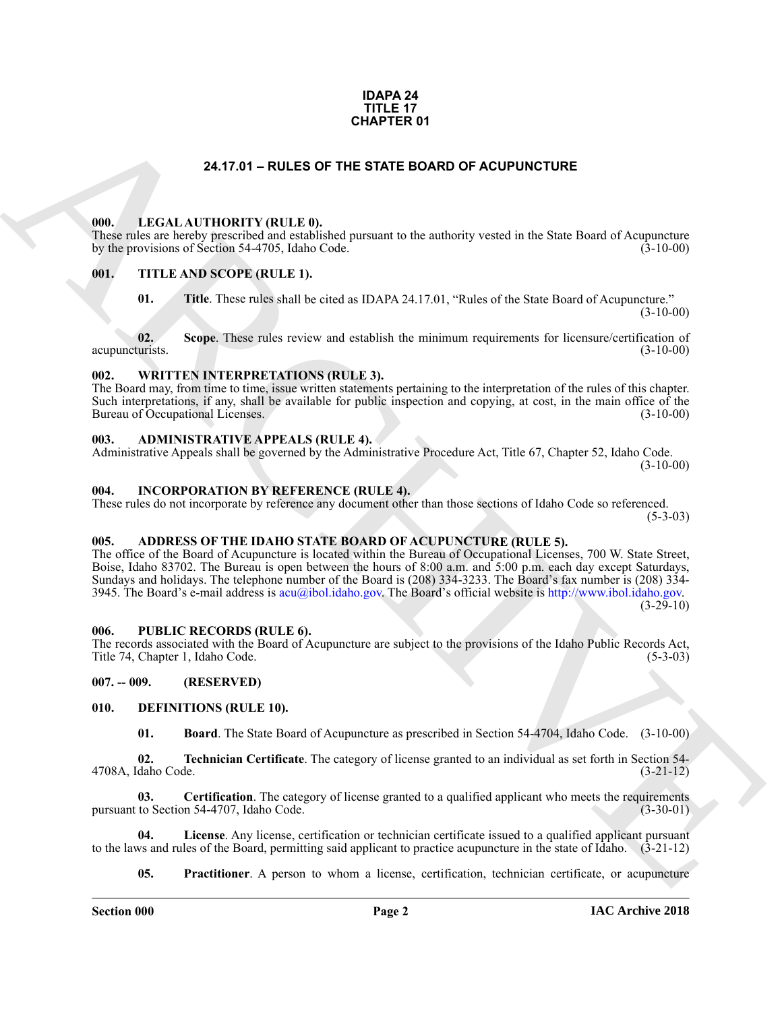#### **IDAPA 24 TITLE 17 CHAPTER 01**

#### **24.17.01 – RULES OF THE STATE BOARD OF ACUPUNCTURE**

#### <span id="page-1-19"></span><span id="page-1-1"></span><span id="page-1-0"></span>**000. LEGAL AUTHORITY (RULE 0).**

These rules are hereby prescribed and established pursuant to the authority vested in the State Board of Acupuncture by the provisions of Section 54-4705, Idaho Code. (3-10-00)

#### <span id="page-1-2"></span>**001. TITLE AND SCOPE (RULE 1).**

<span id="page-1-21"></span>**01. Title**. These rules shall be cited as IDAPA 24.17.01, "Rules of the State Board of Acupuncture."  $(3-10-00)$ 

**02.** Scope. These rules review and establish the minimum requirements for licensure/certification of turists. (3-10-00) acupuncturists.

#### <span id="page-1-22"></span><span id="page-1-3"></span>**002. WRITTEN INTERPRETATIONS (RULE 3).**

The Board may, from time to time, issue written statements pertaining to the interpretation of the rules of this chapter. Such interpretations, if any, shall be available for public inspection and copying, at cost, in the main office of the Bureau of Occupational Licenses. (3-10-00) Bureau of Occupational Licenses.

#### <span id="page-1-11"></span><span id="page-1-4"></span>**003. ADMINISTRATIVE APPEALS (RULE 4).**

Administrative Appeals shall be governed by the Administrative Procedure Act, Title 67, Chapter 52, Idaho Code.  $(3-10-00)$ 

#### <span id="page-1-18"></span><span id="page-1-5"></span>**004. INCORPORATION BY REFERENCE (RULE 4).**

These rules do not incorporate by reference any document other than those sections of Idaho Code so referenced.  $(5-3-03)$ 

#### <span id="page-1-10"></span><span id="page-1-6"></span>**005. ADDRESS OF THE IDAHO STATE BOARD OF ACUPUNCTURE (RULE 5).**

**C[H](mailto:acu@ibol.idaho.gov)APTER OF**<br> **CHARCH[IV](http://www.ibol.idaho.gov)E CONTECTS (BUT ARCHIVE CONTECTS OF ACTIVITY (BUT ARCHIVE CONTECTS OF ACTIVITY (BUT ARCHIVE CONTECTS OF ACTIVITY VELOCITY)**<br> **CHARCHIVE CONTECTS ARE SERVED TO ARCHIVE CONTECTS.**<br> **CHARCHIVE CONTECTS** The office of the Board of Acupuncture is located within the Bureau of Occupational Licenses, 700 W. State Street, Boise, Idaho 83702. The Bureau is open between the hours of 8:00 a.m. and 5:00 p.m. each day except Saturdays, Sundays and holidays. The telephone number of the Board is (208) 334-3233. The Board's fax number is (208) 334- 3945. The Board's e-mail address is acu@ibol.idaho.gov. The Board's official website is http://www.ibol.idaho.gov.  $(3-29-10)$ 

#### <span id="page-1-20"></span><span id="page-1-7"></span>**006. PUBLIC RECORDS (RULE 6).**

The records associated with the Board of Acupuncture are subject to the provisions of the Idaho Public Records Act, Title 74, Chapter 1, Idaho Code. (5-3-03)

#### <span id="page-1-8"></span>**007. -- 009. (RESERVED)**

#### <span id="page-1-9"></span>**010. DEFINITIONS (RULE 10).**

<span id="page-1-17"></span><span id="page-1-14"></span><span id="page-1-13"></span><span id="page-1-12"></span>**01. Board**. The State Board of Acupuncture as prescribed in Section 54-4704, Idaho Code. (3-10-00)

**02. Technician Certificate**. The category of license granted to an individual as set forth in Section 54-<br>(3-21-12) 4708A, Idaho Code.

**03.** Certification. The category of license granted to a qualified applicant who meets the requirements to Section 54-4707. Idaho Code. pursuant to Section 54-4707, Idaho Code.

**04. License**. Any license, certification or technician certificate issued to a qualified applicant pursuant to the laws and rules of the Board, permitting said applicant to practice acupuncture in the state of Idaho. (3-21-12)

<span id="page-1-16"></span><span id="page-1-15"></span>**05.** Practitioner. A person to whom a license, certification, technician certificate, or acupuncture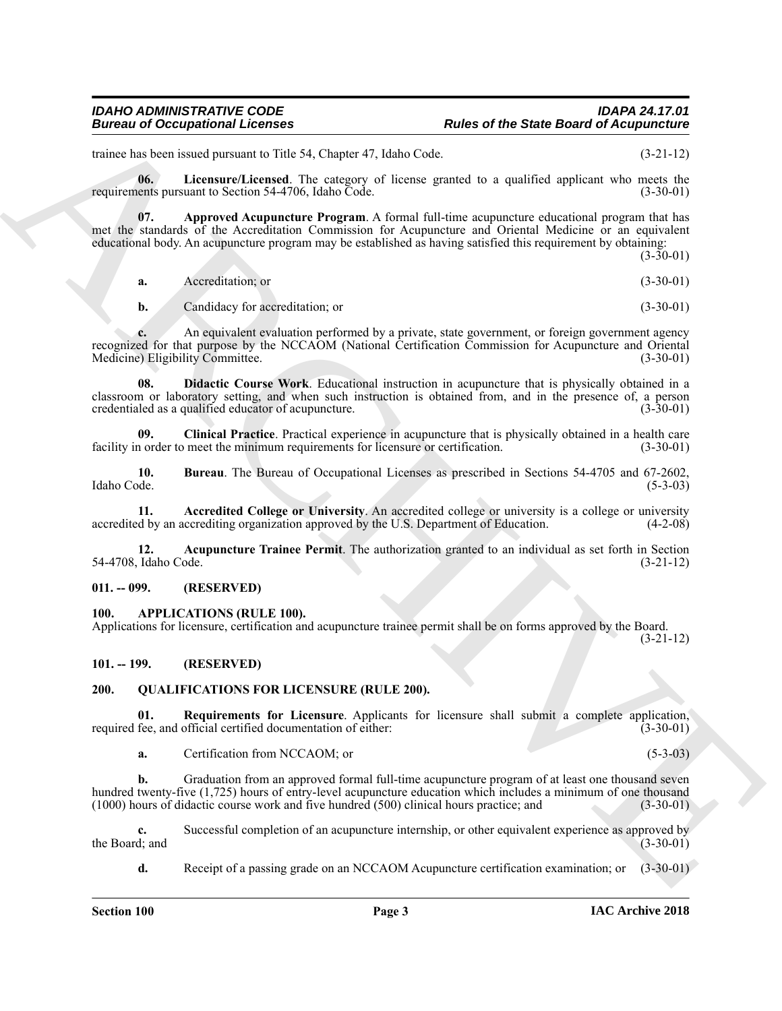#### *IDAHO ADMINISTRATIVE CODE IDAPA 24.17.01* **Rules of the State Board of Acupuncture**

trainee has been issued pursuant to Title 54, Chapter 47, Idaho Code. (3-21-12)

<span id="page-2-11"></span>**06.** Licensure/Licensed. The category of license granted to a qualified applicant who meets the ents pursuant to Section 54-4706. Idaho Code. (3-30-01) requirements pursuant to Section 54-4706, Idaho Code.

**07. Approved Acupuncture Program**. A formal full-time acupuncture educational program that has met the standards of the Accreditation Commission for Acupuncture and Oriental Medicine or an equivalent educational body. An acupuncture program may be established as having satisfied this requirement by obtaining:

<span id="page-2-7"></span>(3-30-01) **a.** Accreditation; or (3-30-01)

<span id="page-2-10"></span>**b.** Candidacy for accreditation; or (3-30-01)

**c.** An equivalent evaluation performed by a private, state government, or foreign government agency recognized for that purpose by the NCCAOM (National Certification Commission for Acupuncture and Oriental Medicine) Eligibility Committee. (3-30-01) Medicine) Eligibility Committee.

Europa of Occupations I Lies are not the State Board of the State Board of Acupacities<br>
Europa in Research interactions of the State Code of the State Code of the State Board of Acupacities<br>
The Research interactions of t **08. Didactic Course Work**. Educational instruction in acupuncture that is physically obtained in a classroom or laboratory setting, and when such instruction is obtained from, and in the presence of, a person credentialed as a qualified educator of acupuncture. (3-30-01)

<span id="page-2-9"></span>**09. Clinical Practice**. Practical experience in acupuncture that is physically obtained in a health care facility in order to meet the minimum requirements for licensure or certification.  $(3-30-01)$ 

<span id="page-2-8"></span>**10. Bureau**. The Bureau of Occupational Licenses as prescribed in Sections 54-4705 and 67-2602, Idaho Code. (5-3-03)

<span id="page-2-5"></span>**11. Accredited College or University**. An accredited college or university is a college or university accredited by an accrediting organization approved by the U.S. Department of Education. (4-2-08)

<span id="page-2-6"></span>**12. Acupuncture Trainee Permit**. The authorization granted to an individual as set forth in Section 54-4708, Idaho Code. (3-21-12)

#### <span id="page-2-0"></span>**011. -- 099. (RESERVED)**

#### <span id="page-2-4"></span><span id="page-2-1"></span>**100. APPLICATIONS (RULE 100).**

Applications for licensure, certification and acupuncture trainee permit shall be on forms approved by the Board.

(3-21-12)

#### <span id="page-2-2"></span>**101. -- 199. (RESERVED)**

#### <span id="page-2-12"></span><span id="page-2-3"></span>**200. QUALIFICATIONS FOR LICENSURE (RULE 200).**

**01.** Requirements for Licensure. Applicants for licensure shall submit a complete application, fee. and official certified documentation of either: (3-30-01) required fee, and official certified documentation of either:

<span id="page-2-13"></span>**a.** Certification from NCCAOM; or (5-3-03)

**b.** Graduation from an approved formal full-time acupuncture program of at least one thousand seven hundred twenty-five (1,725) hours of entry-level acupuncture education which includes a minimum of one thousand (1000) hours of didactic course work and five hundred (500) clinical hours practice; and (3-30-01)

**c.** Successful completion of an acupuncture internship, or other equivalent experience as approved by d; and (3-30-01) the Board; and

**d.** Receipt of a passing grade on an NCCAOM Acupuncture certification examination; or  $(3-30-01)$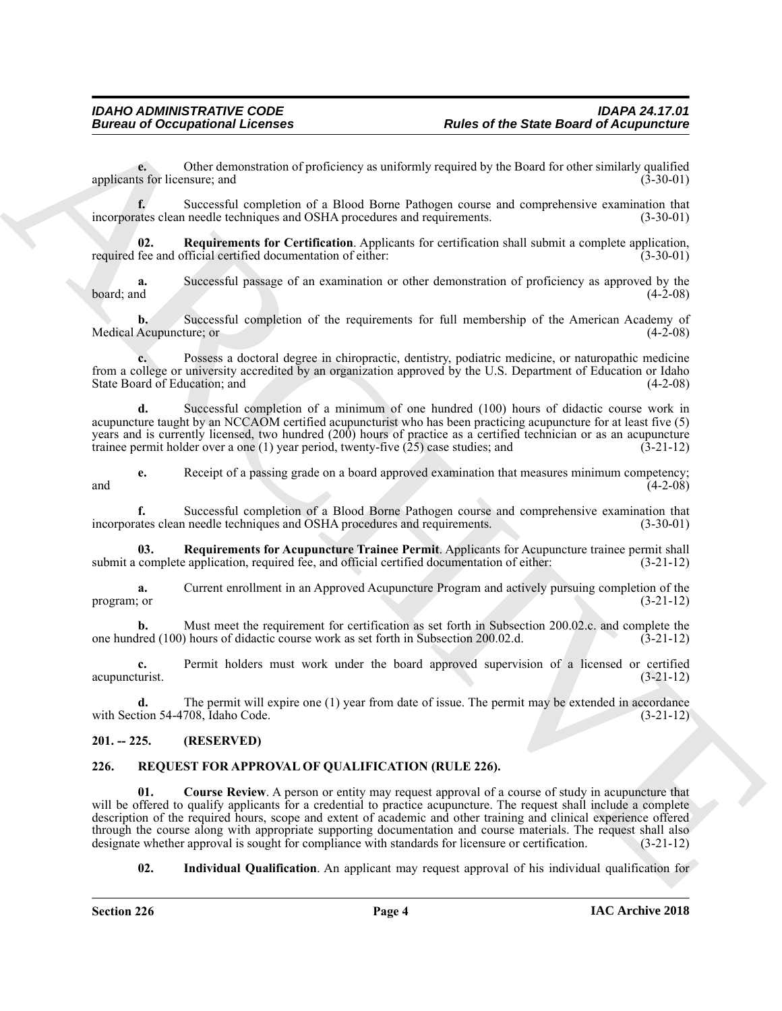**e.** Other demonstration of proficiency as uniformly required by the Board for other similarly qualified applicants for licensure; and  $(3-30-01)$ 

**f.** Successful completion of a Blood Borne Pathogen course and comprehensive examination that incorporates clean needle techniques and OSHA procedures and requirements. (3-30-01)

<span id="page-3-3"></span>**02. Requirements for Certification**. Applicants for certification shall submit a complete application, required fee and official certified documentation of either: (3-30-01)

**a.** Successful passage of an examination or other demonstration of proficiency as approved by the board; and  $(4-2-08)$ 

**b.** Successful completion of the requirements for full membership of the American Academy of Medical Acupuncture; or (4-2-08)

**c.** Possess a doctoral degree in chiropractic, dentistry, podiatric medicine, or naturopathic medicine from a college or university accredited by an organization approved by the U.S. Department of Education or Idaho State Board of Education; and (4-2-08)

**d.** Successful completion of a minimum of one hundred (100) hours of didactic course work in acupuncture taught by an NCCAOM certified acupuncturist who has been practicing acupuncture for at least five (5) years and is currently licensed, two hundred (200) hours of practice as a certified technician or as an acupuncture trainee permit holder over a one (1) year period, twenty-five (25) case studies; and (3-21-12)

**e.** Receipt of a passing grade on a board approved examination that measures minimum competency; and  $(4-2-08)$ 

**f.** Successful completion of a Blood Borne Pathogen course and comprehensive examination that incorporates clean needle techniques and OSHA procedures and requirements. (3-30-01)

<span id="page-3-2"></span>**03. Requirements for Acupuncture Trainee Permit**. Applicants for Acupuncture trainee permit shall submit a complete application, required fee, and official certified documentation of either: (3-21-12)

**a.** Current enrollment in an Approved Acupuncture Program and actively pursuing completion of the program; or  $(3-21-12)$ 

**b.** Must meet the requirement for certification as set forth in Subsection 200.02.c. and complete the one hundred (100) hours of didactic course work as set forth in Subsection 200.02.d. (3-21-12)

**c.** Permit holders must work under the board approved supervision of a licensed or certified acupuncturist. (3-21-12)

**d.** The permit will expire one (1) year from date of issue. The permit may be extended in accordance with Section 54-4708, Idaho Code. (3-21-12)

#### <span id="page-3-0"></span>**201. -- 225. (RESERVED)**

#### <span id="page-3-5"></span><span id="page-3-4"></span><span id="page-3-1"></span>**226. REQUEST FOR APPROVAL OF QUALIFICATION (RULE 226).**

Bureau of Occupations I Leonies <br>
Rules of the State Board of Actingmential<br>
systems for the memoir state of the State Board of Actingmential<br>
systems from the state of the State Action Chinese control in the state of the **01. Course Review**. A person or entity may request approval of a course of study in acupuncture that will be offered to qualify applicants for a credential to practice acupuncture. The request shall include a complete description of the required hours, scope and extent of academic and other training and clinical experience offered through the course along with appropriate supporting documentation and course materials. The request shall also<br>designate whether approval is sought for compliance with standards for licensure or certification. (3-21-12) designate whether approval is sought for compliance with standards for licensure or certification.

<span id="page-3-6"></span>**02. Individual Qualification**. An applicant may request approval of his individual qualification for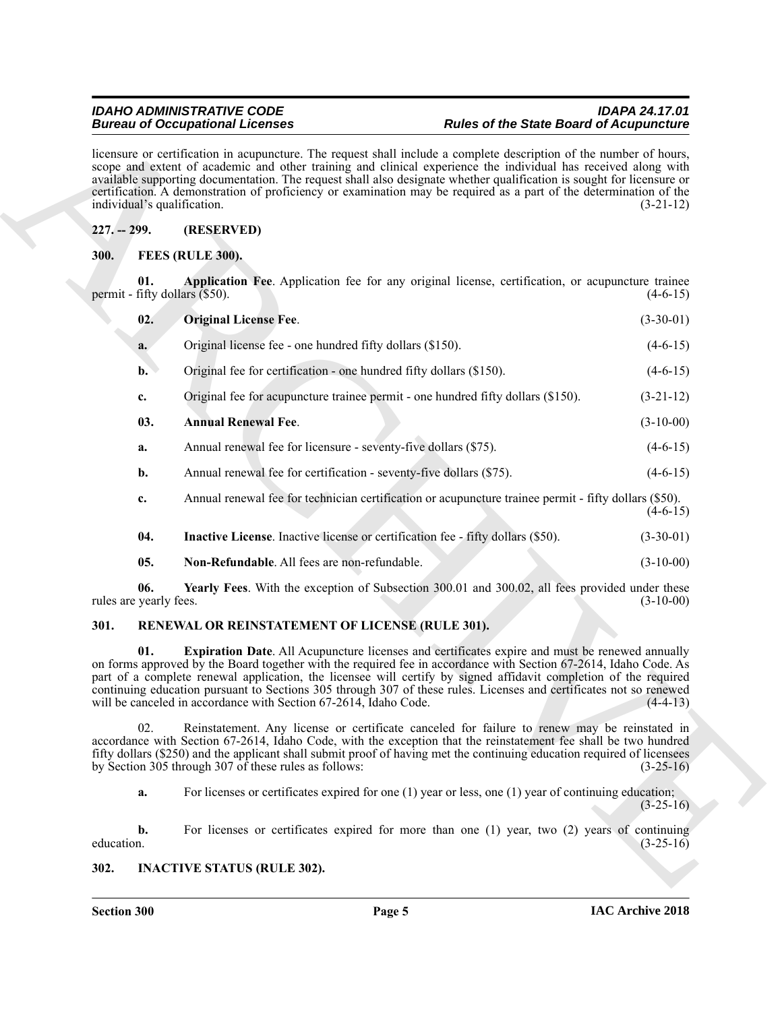#### <span id="page-4-9"></span><span id="page-4-6"></span><span id="page-4-5"></span><span id="page-4-4"></span><span id="page-4-1"></span><span id="page-4-0"></span>**227. -- 299. (RESERVED)**

|                               | <b>Bureau of Occupational Licenses</b>                                          | <b>Rules of the State Board of Acupuncture</b>                                                                                                                                                                                                                                                                                                                                                                                                                                       |             |
|-------------------------------|---------------------------------------------------------------------------------|--------------------------------------------------------------------------------------------------------------------------------------------------------------------------------------------------------------------------------------------------------------------------------------------------------------------------------------------------------------------------------------------------------------------------------------------------------------------------------------|-------------|
|                               | individual's qualification.                                                     | licensure or certification in acupuncture. The request shall include a complete description of the number of hours,<br>scope and extent of academic and other training and clinical experience the individual has received along with<br>available supporting documentation. The request shall also designate whether qualification is sought for licensure or<br>certification. A demonstration of proficiency or examination may be required as a part of the determination of the | $(3-21-12)$ |
| $227. - 299.$                 | (RESERVED)                                                                      |                                                                                                                                                                                                                                                                                                                                                                                                                                                                                      |             |
| <b>300.</b>                   | FEES (RULE 300).                                                                |                                                                                                                                                                                                                                                                                                                                                                                                                                                                                      |             |
| 01.                           | permit - fifty dollars $($ \$50).                                               | Application Fee. Application fee for any original license, certification, or acupuncture trainee                                                                                                                                                                                                                                                                                                                                                                                     | $(4-6-15)$  |
| 02.                           | <b>Original License Fee.</b>                                                    |                                                                                                                                                                                                                                                                                                                                                                                                                                                                                      | $(3-30-01)$ |
| a.                            | Original license fee - one hundred fifty dollars (\$150).                       |                                                                                                                                                                                                                                                                                                                                                                                                                                                                                      | $(4-6-15)$  |
| $\mathbf{b}$ .                | Original fee for certification - one hundred fifty dollars (\$150).             |                                                                                                                                                                                                                                                                                                                                                                                                                                                                                      | $(4-6-15)$  |
| c.                            |                                                                                 | Original fee for acupuncture trainee permit - one hundred fifty dollars (\$150).                                                                                                                                                                                                                                                                                                                                                                                                     | $(3-21-12)$ |
| 03.                           | <b>Annual Renewal Fee.</b>                                                      |                                                                                                                                                                                                                                                                                                                                                                                                                                                                                      | $(3-10-00)$ |
| a.                            | Annual renewal fee for licensure - seventy-five dollars (\$75).                 |                                                                                                                                                                                                                                                                                                                                                                                                                                                                                      | $(4-6-15)$  |
| b.                            | Annual renewal fee for certification - seventy-five dollars (\$75).             |                                                                                                                                                                                                                                                                                                                                                                                                                                                                                      | $(4-6-15)$  |
| c.                            |                                                                                 | Annual renewal fee for technician certification or acupuncture trainee permit - fifty dollars (\$50).                                                                                                                                                                                                                                                                                                                                                                                | $(4-6-15)$  |
| 04.                           | Inactive License. Inactive license or certification fee - fifty dollars (\$50). |                                                                                                                                                                                                                                                                                                                                                                                                                                                                                      | $(3-30-01)$ |
| 05.                           | Non-Refundable. All fees are non-refundable.                                    |                                                                                                                                                                                                                                                                                                                                                                                                                                                                                      | $(3-10-00)$ |
| 06.<br>rules are yearly fees. |                                                                                 | Yearly Fees. With the exception of Subsection 300.01 and 300.02, all fees provided under these                                                                                                                                                                                                                                                                                                                                                                                       | $(3-10-00)$ |
| 301.                          | RENEWAL OR REINSTATEMENT OF LICENSE (RULE 301).                                 |                                                                                                                                                                                                                                                                                                                                                                                                                                                                                      |             |
| 01.                           | will be canceled in accordance with Section 67-2614, Idaho Code.                | Expiration Date. All Acupuncture licenses and certificates expire and must be renewed annually<br>on forms approved by the Board together with the required fee in accordance with Section 67-2614, Idaho Code. As<br>part of a complete renewal application, the licensee will certify by signed affidavit completion of the required<br>continuing education pursuant to Sections 305 through 307 of these rules. Licenses and certificates not so renewed                         | $(4-4-13)$  |
| 02.                           | by Section 305 through 307 of these rules as follows:                           | Reinstatement. Any license or certificate canceled for failure to renew may be reinstated in<br>accordance with Section 67-2614, Idaho Code, with the exception that the reinstatement fee shall be two hundred<br>fifty dollars (\$250) and the applicant shall submit proof of having met the continuing education required of licensees                                                                                                                                           | $(3-25-16)$ |
| a.                            |                                                                                 | For licenses or certificates expired for one $(1)$ year or less, one $(1)$ year of continuing education;                                                                                                                                                                                                                                                                                                                                                                             | $(3-25-16)$ |
| $\mathbf{b}$ .<br>education.  |                                                                                 | For licenses or certificates expired for more than one $(1)$ year, two $(2)$ years of continuing                                                                                                                                                                                                                                                                                                                                                                                     | $(3-25-16)$ |
| 302.                          | <b>INACTIVE STATUS (RULE 302).</b>                                              |                                                                                                                                                                                                                                                                                                                                                                                                                                                                                      |             |

#### <span id="page-4-14"></span><span id="page-4-13"></span><span id="page-4-12"></span><span id="page-4-10"></span><span id="page-4-8"></span><span id="page-4-7"></span><span id="page-4-2"></span>**301. RENEWAL OR REINSTATEMENT OF LICENSE (RULE 301).**

#### <span id="page-4-11"></span><span id="page-4-3"></span>**302. INACTIVE STATUS (RULE 302).**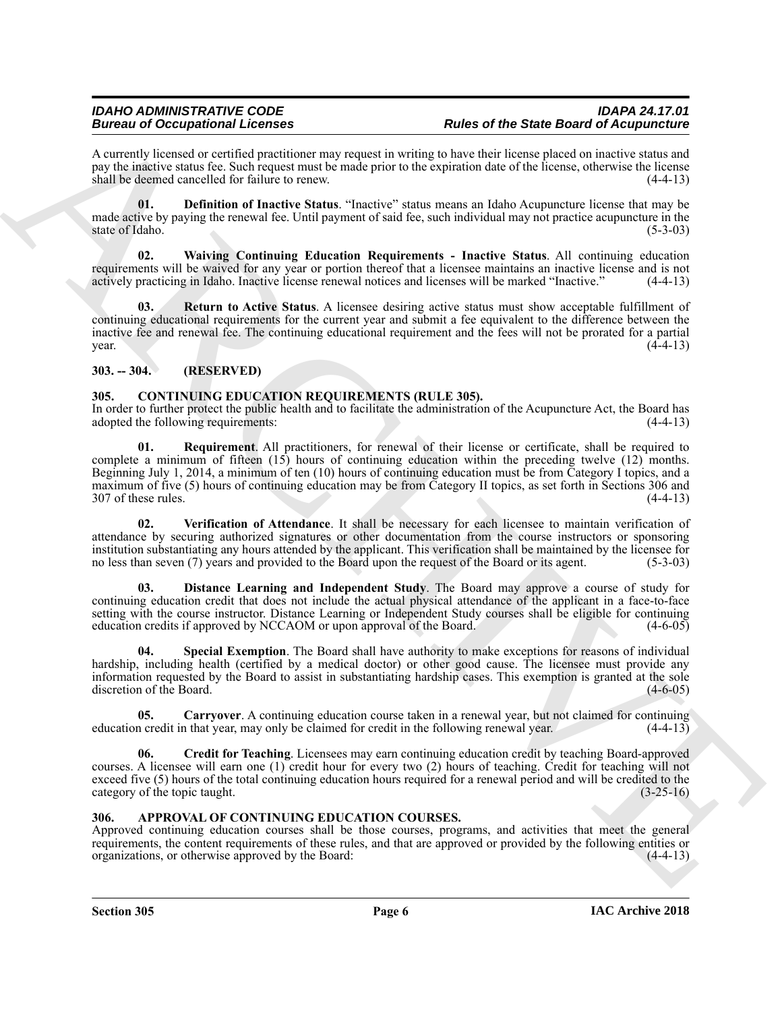A currently licensed or certified practitioner may request in writing to have their license placed on inactive status and pay the inactive status fee. Such request must be made prior to the expiration date of the license, otherwise the license shall be deemed cancelled for failure to renew. (4-4-13)

<span id="page-5-11"></span>**01. Definition of Inactive Status**. "Inactive" status means an Idaho Acupuncture license that may be made active by paying the renewal fee. Until payment of said fee, such individual may not practice acupuncture in the state of Idaho. (5-3-03) state of Idaho.

<span id="page-5-13"></span>**02. Waiving Continuing Education Requirements - Inactive Status**. All continuing education requirements will be waived for any year or portion thereof that a licensee maintains an inactive license and is not actively practicing in Idaho. Inactive license renewal notices and licenses will be marked "Inactive." (4-4-13)

<span id="page-5-12"></span>**03. Return to Active Status**. A licensee desiring active status must show acceptable fulfillment of continuing educational requirements for the current year and submit a fee equivalent to the difference between the inactive fee and renewal fee. The continuing educational requirement and the fees will not be prorated for a partial  $\frac{4-4-13}{2}$ 

#### <span id="page-5-0"></span>**303. -- 304. (RESERVED)**

### <span id="page-5-4"></span><span id="page-5-1"></span>**305. CONTINUING EDUCATION REQUIREMENTS (RULE 305).**

<span id="page-5-8"></span>In order to further protect the public health and to facilitate the administration of the Acupuncture Act, the Board has adopted the following requirements: (4-4-13) adopted the following requirements:

Bearmain of Georgian Christian and the same of the same of the State Base Base Core of the same of the same of the same of the same of the same of the same of the same of the same of the same of the same of the same of th **01. Requirement**. All practitioners, for renewal of their license or certificate, shall be required to complete a minimum of fifteen (15) hours of continuing education within the preceding twelve (12) months. Beginning July 1, 2014, a minimum of ten (10) hours of continuing education must be from Category I topics, and a maximum of five (5) hours of continuing education may be from Category II topics, as set forth in Sections 306 and 307 of these rules. (4-4-13) 307 of these rules.

<span id="page-5-10"></span>**02. Verification of Attendance**. It shall be necessary for each licensee to maintain verification of attendance by securing authorized signatures or other documentation from the course instructors or sponsoring institution substantiating any hours attended by the applicant. This verification shall be maintained by the licensee for no less than seven (7) years and provided to the Board upon the request of the Board or its agent. (5-3-03)

<span id="page-5-7"></span>**03. Distance Learning and Independent Study**. The Board may approve a course of study for continuing education credit that does not include the actual physical attendance of the applicant in a face-to-face setting with the course instructor. Distance Learning or Independent Study courses shall be eligible for continuing education credits if approved by NCCAOM or upon approval of the Board. (4-6-05)

<span id="page-5-9"></span>**04. Special Exemption**. The Board shall have authority to make exceptions for reasons of individual hardship, including health (certified by a medical doctor) or other good cause. The licensee must provide any information requested by the Board to assist in substantiating hardship cases. This exemption is granted at the sole discretion of the Board. (4-6-05)

<span id="page-5-5"></span>**05.** Carryover. A continuing education course taken in a renewal year, but not claimed for continuing n credit in that year, may only be claimed for credit in the following renewal year.  $(4-4-13)$ education credit in that year, may only be claimed for credit in the following renewal year.

<span id="page-5-6"></span>**06. Credit for Teaching**. Licensees may earn continuing education credit by teaching Board-approved courses. A licensee will earn one (1) credit hour for every two (2) hours of teaching. Credit for teaching will not exceed five (5) hours of the total continuing education hours required for a renewal period and will be credited to the category of the topic taught. (3-25-16)

#### <span id="page-5-3"></span><span id="page-5-2"></span>**306. APPROVAL OF CONTINUING EDUCATION COURSES.**

Approved continuing education courses shall be those courses, programs, and activities that meet the general requirements, the content requirements of these rules, and that are approved or provided by the following entities or organizations, or otherwise approved by the Board: (4-4-13) organizations, or otherwise approved by the Board: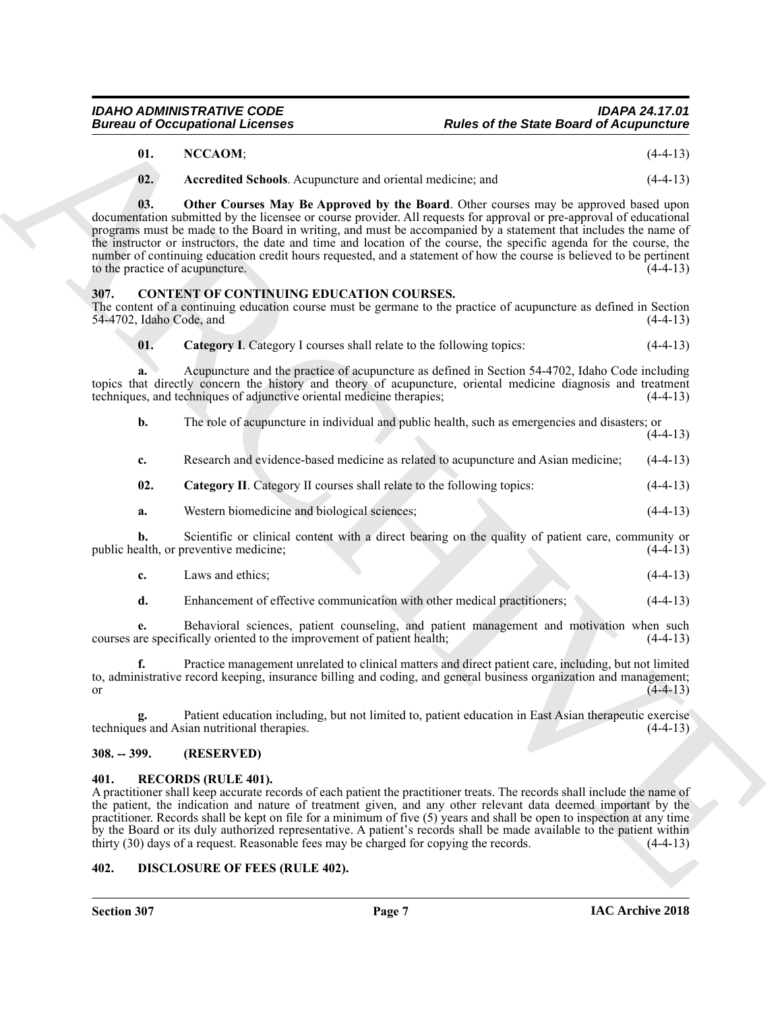<span id="page-6-6"></span><span id="page-6-5"></span><span id="page-6-4"></span>

| NCCAOM; | $(4-4-13)$ |
|---------|------------|
|         |            |

#### <span id="page-6-8"></span><span id="page-6-7"></span><span id="page-6-0"></span>**307. CONTENT OF CONTINUING EDUCATION COURSES.**

|                                  | <b>Bureau of Occupational Licenses</b>                                                                                                                                                                                                                                                                                                                                                                                                                                                                                                                                                                                    | <b>Rules of the State Board of Acupuncture</b> |
|----------------------------------|---------------------------------------------------------------------------------------------------------------------------------------------------------------------------------------------------------------------------------------------------------------------------------------------------------------------------------------------------------------------------------------------------------------------------------------------------------------------------------------------------------------------------------------------------------------------------------------------------------------------------|------------------------------------------------|
| 01.                              | NCCAOM;                                                                                                                                                                                                                                                                                                                                                                                                                                                                                                                                                                                                                   | $(4-4-13)$                                     |
| 02.                              | Accredited Schools. Acupuncture and oriental medicine; and                                                                                                                                                                                                                                                                                                                                                                                                                                                                                                                                                                | $(4-4-13)$                                     |
| 03.                              | Other Courses May Be Approved by the Board. Other courses may be approved based upon<br>documentation submitted by the licensee or course provider. All requests for approval or pre-approval of educational<br>programs must be made to the Board in writing, and must be accompanied by a statement that includes the name of<br>the instructor or instructors, the date and time and location of the course, the specific agenda for the course, the<br>number of continuing education credit hours requested, and a statement of how the course is believed to be pertinent<br>to the practice of acupuncture.        | $(4-4-13)$                                     |
| 307.<br>54-4702, Idaho Code, and | <b>CONTENT OF CONTINUING EDUCATION COURSES.</b><br>The content of a continuing education course must be germane to the practice of acupuncture as defined in Section                                                                                                                                                                                                                                                                                                                                                                                                                                                      | $(4-4-13)$                                     |
| 01.                              | Category I. Category I courses shall relate to the following topics:                                                                                                                                                                                                                                                                                                                                                                                                                                                                                                                                                      | $(4-4-13)$                                     |
| a.                               | Acupuncture and the practice of acupuncture as defined in Section 54-4702, Idaho Code including<br>topics that directly concern the history and theory of acupuncture, oriental medicine diagnosis and treatment<br>techniques, and techniques of adjunctive oriental medicine therapies;                                                                                                                                                                                                                                                                                                                                 | $(4-4-13)$                                     |
| b.                               | The role of acupuncture in individual and public health, such as emergencies and disasters; or                                                                                                                                                                                                                                                                                                                                                                                                                                                                                                                            | $(4-4-13)$                                     |
| c.                               | Research and evidence-based medicine as related to acupuncture and Asian medicine;                                                                                                                                                                                                                                                                                                                                                                                                                                                                                                                                        | $(4-4-13)$                                     |
| 02.                              | Category II. Category II courses shall relate to the following topics:                                                                                                                                                                                                                                                                                                                                                                                                                                                                                                                                                    | $(4-4-13)$                                     |
| a.                               | Western biomedicine and biological sciences;                                                                                                                                                                                                                                                                                                                                                                                                                                                                                                                                                                              | $(4-4-13)$                                     |
| b.                               | Scientific or clinical content with a direct bearing on the quality of patient care, community or<br>public health, or preventive medicine;                                                                                                                                                                                                                                                                                                                                                                                                                                                                               | $(4-4-13)$                                     |
| c.                               | Laws and ethics;                                                                                                                                                                                                                                                                                                                                                                                                                                                                                                                                                                                                          | $(4-4-13)$                                     |
| d.                               | Enhancement of effective communication with other medical practitioners;                                                                                                                                                                                                                                                                                                                                                                                                                                                                                                                                                  | $(4-4-13)$                                     |
| e.                               | Behavioral sciences, patient counseling, and patient management and motivation when such<br>courses are specifically oriented to the improvement of patient health;                                                                                                                                                                                                                                                                                                                                                                                                                                                       | $(4-4-13)$                                     |
| f.<br>or                         | Practice management unrelated to clinical matters and direct patient care, including, but not limited<br>to, administrative record keeping, insurance billing and coding, and general business organization and management;                                                                                                                                                                                                                                                                                                                                                                                               | $(4-4-13)$                                     |
| g.                               | Patient education including, but not limited to, patient education in East Asian therapeutic exercise<br>techniques and Asian nutritional therapies.                                                                                                                                                                                                                                                                                                                                                                                                                                                                      | $(4-4-13)$                                     |
| $308. - 399.$                    | (RESERVED)                                                                                                                                                                                                                                                                                                                                                                                                                                                                                                                                                                                                                |                                                |
| 401.                             | <b>RECORDS (RULE 401).</b><br>A practitioner shall keep accurate records of each patient the practitioner treats. The records shall include the name of<br>the patient, the indication and nature of treatment given, and any other relevant data deemed important by the<br>practitioner. Records shall be kept on file for a minimum of five $(5)$ years and shall be open to inspection at any time<br>by the Board or its duly authorized representative. A patient's records shall be made available to the patient within<br>thirty (30) days of a request. Reasonable fees may be charged for copying the records. | $(4-4-13)$                                     |
| 402.                             | <b>DISCLOSURE OF FEES (RULE 402).</b>                                                                                                                                                                                                                                                                                                                                                                                                                                                                                                                                                                                     |                                                |

- <span id="page-6-9"></span>**c.** Laws and ethics; (4-4-13)
	- **d.** Enhancement of effective communication with other medical practitioners; (4-4-13)

#### <span id="page-6-1"></span>**308. -- 399. (RESERVED)**

#### <span id="page-6-11"></span><span id="page-6-2"></span>**401. RECORDS (RULE 401).**

#### <span id="page-6-10"></span><span id="page-6-3"></span>**402. DISCLOSURE OF FEES (RULE 402).**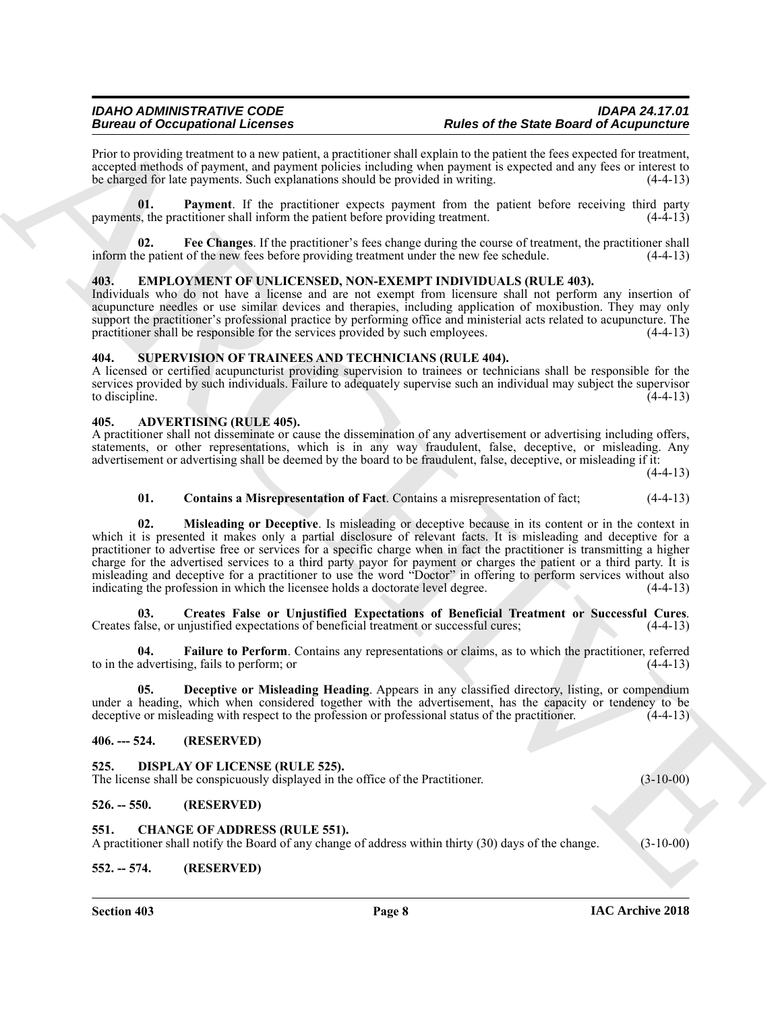Prior to providing treatment to a new patient, a practitioner shall explain to the patient the fees expected for treatment, accepted methods of payment, and payment policies including when payment is expected and any fees or interest to be charged for late payments. Such explanations should be provided in writing. (4-4-13)

<span id="page-7-16"></span>**01. Payment**. If the practitioner expects payment from the patient before receiving third party payments, the practitioner shall inform the patient before providing treatment. (4-4-13)

<span id="page-7-15"></span>**02. Fee Changes**. If the practitioner's fees change during the course of treatment, the practitioner shall inform the patient of the new fees before providing treatment under the new fee schedule. (4-4-13)

#### <span id="page-7-18"></span><span id="page-7-0"></span>**403. EMPLOYMENT OF UNLICENSED, NON-EXEMPT INDIVIDUALS (RULE 403).**

Individuals who do not have a license and are not exempt from licensure shall not perform any insertion of acupuncture needles or use similar devices and therapies, including application of moxibustion. They may only support the practitioner's professional practice by performing office and ministerial acts related to acupuncture. The practitioner shall be responsible for the services provided by such employees. (4-4-13)

#### <span id="page-7-19"></span><span id="page-7-1"></span>**404. SUPERVISION OF TRAINEES AND TECHNICIANS (RULE 404).**

A licensed or certified acupuncturist providing supervision to trainees or technicians shall be responsible for the services provided by such individuals. Failure to adequately supervise such an individual may subject the supervisor to discipline.  $(4-4-13)$ 

#### <span id="page-7-8"></span><span id="page-7-2"></span>**405. ADVERTISING (RULE 405).**

A practitioner shall not disseminate or cause the dissemination of any advertisement or advertising including offers, statements, or other representations, which is in any way fraudulent, false, deceptive, or misleading. Any advertisement or advertising shall be deemed by the board to be fraudulent, false, deceptive, or misleading if it:

 $(4-4-13)$ 

#### <span id="page-7-13"></span><span id="page-7-9"></span>**01. Contains a Misrepresentation of Fact**. Contains a misrepresentation of fact; (4-4-13)

Beative of Occupationis Licenses<br>
Reaction provides the same projection provides and a problem ship and a problem ship and the same field of exponential in the same ship and a second state in the same ship and the same sh **02. Misleading or Deceptive**. Is misleading or deceptive because in its content or in the context in which it is presented it makes only a partial disclosure of relevant facts. It is misleading and deceptive for a practitioner to advertise free or services for a specific charge when in fact the practitioner is transmitting a higher charge for the advertised services to a third party payor for payment or charges the patient or a third party. It is misleading and deceptive for a practitioner to use the word "Doctor" in offering to perform services without also indicating the profession in which the licensee holds a doctorate level degree. (4-4-13) indicating the profession in which the licensee holds a doctorate level degree.

<span id="page-7-10"></span>**03.** Creates False or Unjustified Expectations of Beneficial Treatment or Successful Cures.<br>Creates false, or unjustified expectations of beneficial treatment or successful cures; (4-4-13)

<span id="page-7-12"></span>**04. Failure to Perform**. Contains any representations or claims, as to which the practitioner, referred to in the advertising, fails to perform; or  $(4-4-13)$ 

<span id="page-7-11"></span>**05. Deceptive or Misleading Heading**. Appears in any classified directory, listing, or compendium under a heading, which when considered together with the advertisement, has the capacity or tendency to be deceptive or misleading with respect to the profession or professional status of the practitioner. (4-4-13)

#### <span id="page-7-3"></span>**406. --- 524. (RESERVED)**

<span id="page-7-17"></span><span id="page-7-4"></span>**525. DISPLAY OF LICENSE (RULE 525).**

The license shall be conspicuously displayed in the office of the Practitioner. (3-10-00)

#### <span id="page-7-5"></span>**526. -- 550. (RESERVED)**

#### <span id="page-7-14"></span><span id="page-7-6"></span>**551. CHANGE OF ADDRESS (RULE 551).**

A practitioner shall notify the Board of any change of address within thirty (30) days of the change. (3-10-00)

#### <span id="page-7-7"></span>**552. -- 574. (RESERVED)**

**Section 403 Page 8**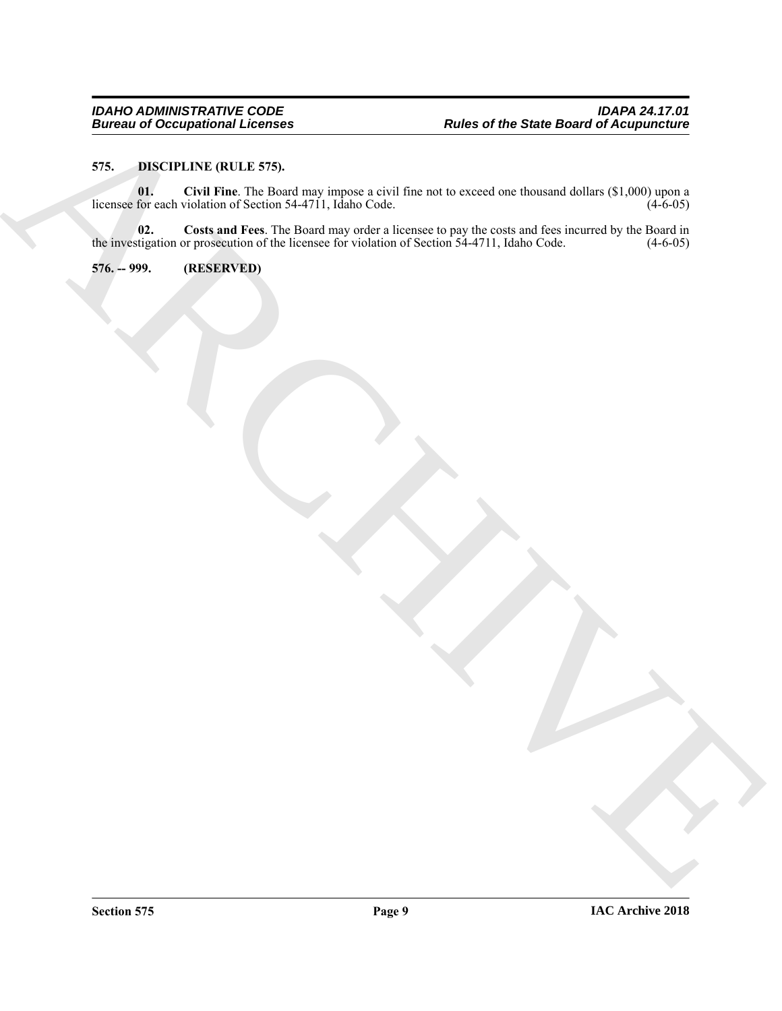#### <span id="page-8-3"></span><span id="page-8-2"></span><span id="page-8-0"></span>**575. DISCIPLINE (RULE 575).**

Burian of Occupational Internet (State Research)<br>
The control (State Research) (The Control of Control of Control of Control of Control of Control of Control of Control of Control of Control of Control of Control of Contro **01. Civil Fine**. The Board may impose a civil fine not to exceed one thousand dollars (\$1,000) upon a licensee for each violation of Section 54-4711, Idaho Code. (4-6-05)

<span id="page-8-4"></span>**02. Costs and Fees**. The Board may order a licensee to pay the costs and fees incurred by the Board in the investigation or prosecution of the licensee for violation of Section 54-4711, Idaho Code. (4-6-05)

<span id="page-8-1"></span>**576. -- 999. (RESERVED)**